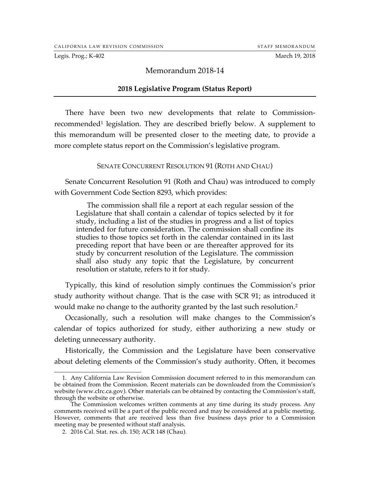Legis. Prog.; K-402 March 19, 2018

### Memorandum 2018-14

#### **2018 Legislative Program (Status Report)**

There have been two new developments that relate to Commissionrecommended1 legislation. They are described briefly below. A supplement to this memorandum will be presented closer to the meeting date, to provide a more complete status report on the Commission's legislative program.

#### SENATE CONCURRENT RESOLUTION 91 (ROTH AND CHAU)

Senate Concurrent Resolution 91 (Roth and Chau) was introduced to comply with Government Code Section 8293, which provides:

The commission shall file a report at each regular session of the Legislature that shall contain a calendar of topics selected by it for study, including a list of the studies in progress and a list of topics intended for future consideration. The commission shall confine its studies to those topics set forth in the calendar contained in its last preceding report that have been or are thereafter approved for its study by concurrent resolution of the Legislature. The commission shall also study any topic that the Legislature, by concurrent resolution or statute, refers to it for study.

Typically, this kind of resolution simply continues the Commission's prior study authority without change. That is the case with SCR 91; as introduced it would make no change to the authority granted by the last such resolution. 2

Occasionally, such a resolution will make changes to the Commission's calendar of topics authorized for study, either authorizing a new study or deleting unnecessary authority.

Historically, the Commission and the Legislature have been conservative about deleting elements of the Commission's study authority. Often, it becomes

 <sup>1.</sup> Any California Law Revision Commission document referred to in this memorandum can be obtained from the Commission. Recent materials can be downloaded from the Commission's website (www.clrc.ca.gov). Other materials can be obtained by contacting the Commission's staff, through the website or otherwise.

The Commission welcomes written comments at any time during its study process. Any comments received will be a part of the public record and may be considered at a public meeting. However, comments that are received less than five business days prior to a Commission meeting may be presented without staff analysis.

<sup>2</sup>. 2016 Cal. Stat. res. ch. 150; ACR 148 (Chau).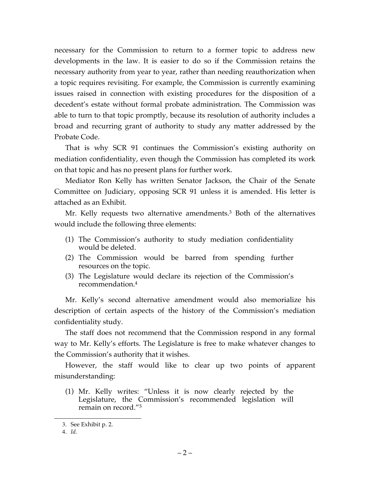necessary for the Commission to return to a former topic to address new developments in the law. It is easier to do so if the Commission retains the necessary authority from year to year, rather than needing reauthorization when a topic requires revisiting. For example, the Commission is currently examining issues raised in connection with existing procedures for the disposition of a decedent's estate without formal probate administration. The Commission was able to turn to that topic promptly, because its resolution of authority includes a broad and recurring grant of authority to study any matter addressed by the Probate Code.

That is why SCR 91 continues the Commission's existing authority on mediation confidentiality, even though the Commission has completed its work on that topic and has no present plans for further work.

Mediator Ron Kelly has written Senator Jackson, the Chair of the Senate Committee on Judiciary, opposing SCR 91 unless it is amended. His letter is attached as an Exhibit.

Mr. Kelly requests two alternative amendments.<sup>3</sup> Both of the alternatives would include the following three elements:

- (1) The Commission's authority to study mediation confidentiality would be deleted.
- (2) The Commission would be barred from spending further resources on the topic.
- (3) The Legislature would declare its rejection of the Commission's recommendation.4

Mr. Kelly's second alternative amendment would also memorialize his description of certain aspects of the history of the Commission's mediation confidentiality study.

The staff does not recommend that the Commission respond in any formal way to Mr. Kelly's efforts. The Legislature is free to make whatever changes to the Commission's authority that it wishes.

However, the staff would like to clear up two points of apparent misunderstanding:

(1) Mr. Kelly writes: "Unless it is now clearly rejected by the Legislature, the Commission's recommended legislation will remain on record."5

l

<sup>3</sup>. See Exhibit p. 2.

<sup>4</sup>. *Id.*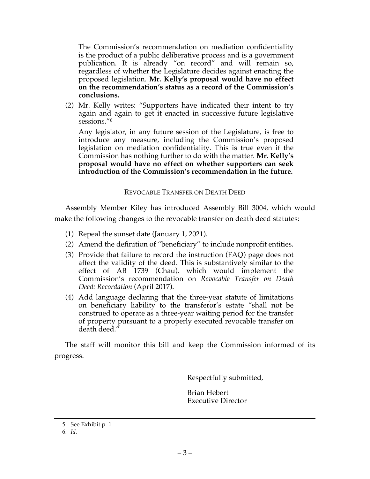The Commission's recommendation on mediation confidentiality is the product of a public deliberative process and is a government publication. It is already "on record" and will remain so, regardless of whether the Legislature decides against enacting the proposed legislation. **Mr. Kelly's proposal would have no effect on the recommendation's status as a record of the Commission's conclusions.**

(2) Mr. Kelly writes: "Supporters have indicated their intent to try again and again to get it enacted in successive future legislative sessions."6

Any legislator, in any future session of the Legislature, is free to introduce any measure, including the Commission's proposed legislation on mediation confidentiality. This is true even if the Commission has nothing further to do with the matter. **Mr. Kelly's proposal would have no effect on whether supporters can seek introduction of the Commission's recommendation in the future.**

#### REVOCABLE TRANSFER ON DEATH DEED

Assembly Member Kiley has introduced Assembly Bill 3004, which would make the following changes to the revocable transfer on death deed statutes:

- (1) Repeal the sunset date (January 1, 2021).
- (2) Amend the definition of "beneficiary" to include nonprofit entities.
- (3) Provide that failure to record the instruction (FAQ) page does not affect the validity of the deed. This is substantively similar to the effect of AB 1739 (Chau), which would implement the Commission's recommendation on *Revocable Transfer on Death Deed: Recordation* (April 2017).
- (4) Add language declaring that the three-year statute of limitations on beneficiary liability to the transferor's estate "shall not be construed to operate as a three-year waiting period for the transfer of property pursuant to a properly executed revocable transfer on death deed."

The staff will monitor this bill and keep the Commission informed of its progress.

Respectfully submitted,

Brian Hebert Executive Director

l

<sup>5</sup>. See Exhibit p. 1.

<sup>6</sup>. *Id.*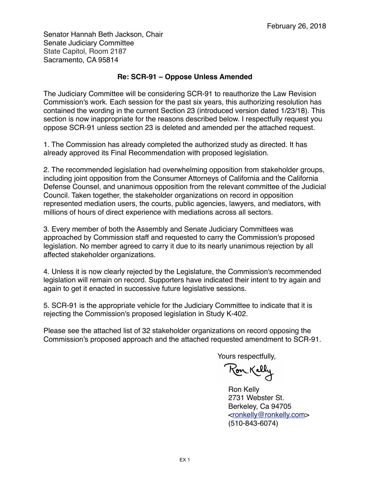Senator Hannah Beth Jackson, Chair Senate Judiciary Committee State Capitol, Room 2187 Sacramento, CA 95814

### **Re: SCR-91 – Oppose Unless Amended**

The Judiciary Committee will be considering SCR-91 to reauthorize the Law Revision Commission's work. Each session for the past six years, this authorizing resolution has contained the wording in the current Section 23 (introduced version dated 1/23/18). This section is now inappropriate for the reasons described below. I respectfully request you oppose SCR-91 unless section 23 is deleted and amended per the attached request.

1. The Commission has already completed the authorized study as directed. It has already approved its Final Recommendation with proposed legislation.

2. The recommended legislation had overwhelming opposition from stakeholder groups, including joint opposition from the Consumer Attorneys of California and the California Defense Counsel, and unanimous opposition from the relevant committee of the Judicial Council. Taken together, the stakeholder organizations on record in opposition represented mediation users, the courts, public agencies, lawyers, and mediators, with millions of hours of direct experience with mediations across all sectors.

3. Every member of both the Assembly and Senate Judiciary Committees was approached by Commission staff and requested to carry the Commission's proposed legislation. No member agreed to carry it due to its nearly unanimous rejection by all affected stakeholder organizations.

4. Unless it is now clearly rejected by the Legislature, the Commission's recommended legislation will remain on record. Supporters have indicated their intent to try again and again to get it enacted in successive future legislative sessions.

5. SCR-91 is the appropriate vehicle for the Judiciary Committee to indicate that it is rejecting the Commission's proposed legislation in Study K-402.

Please see the attached list of 32 stakeholder organizations on record opposing the Commission's proposed approach and the attached requested amendment to SCR-91.

Yours respectfully,

Ron Kelly

Ron Kelly 2731 Webster St. Berkeley, Ca 94705 [<ronkelly@ronkelly.com](mailto:ronkelly@ronkelly.com)> (510-843-6074)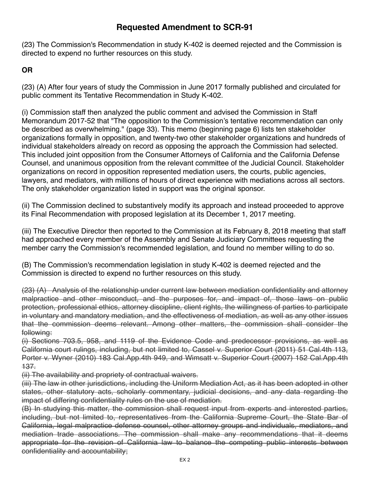# **Requested Amendment to SCR-91**

(23) The Commission's Recommendation in study K-402 is deemed rejected and the Commission is directed to expend no further resources on this study.

## **OR**

(23) (A) After four years of study the Commission in June 2017 formally published and circulated for public comment its Tentative Recommendation in Study K-402.

(i) Commission staff then analyzed the public comment and advised the Commission in Staff Memorandum 2017-52 that "The opposition to the Commission's tentative recommendation can only be described as overwhelming." (page 33). This memo (beginning page 6) lists ten stakeholder organizations formally in opposition, and twenty-two other stakeholder organizations and hundreds of individual stakeholders already on record as opposing the approach the Commission had selected. This included joint opposition from the Consumer Attorneys of California and the California Defense Counsel, and unanimous opposition from the relevant committee of the Judicial Council. Stakeholder organizations on record in opposition represented mediation users, the courts, public agencies, lawyers, and mediators, with millions of hours of direct experience with mediations across all sectors. The only stakeholder organization listed in support was the original sponsor.

(ii) The Commission declined to substantively modify its approach and instead proceeded to approve its Final Recommendation with proposed legislation at its December 1, 2017 meeting.

(iii) The Executive Director then reported to the Commission at its February 8, 2018 meeting that staff had approached every member of the Assembly and Senate Judiciary Committees requesting the member carry the Commission's recommended legislation, and found no member willing to do so.

(B) The Commission's recommendation legislation in study K-402 is deemed rejected and the Commission is directed to expend no further resources on this study.

(23) (A) Analysis of the relationship under current law between mediation confidentiality and attorney malpractice and other misconduct, and the purposes for, and impact of, those laws on public protection, professional ethics, attorney discipline, client rights, the willingness of parties to participate in voluntary and mandatory mediation, and the effectiveness of mediation, as well as any other issues that the commission deems relevant. Among other matters, the commission shall consider the following:

(i) Sections 703.5, 958, and 1119 of the Evidence Code and predecessor provisions, as well as California court rulings, including, but not limited to, Cassel v. Superior Court (2011) 51 Cal.4th 113, Porter v. Wyner (2010) 183 Cal.App.4th 949, and Wimsatt v. Superior Court (2007) 152 Cal.App.4th 137.

(ii) The availability and propriety of contractual waivers.

(iii) The law in other jurisdictions, including the Uniform Mediation Act, as it has been adopted in other states, other statutory acts, scholarly commentary, judicial decisions, and any data regarding the impact of differing confidentiality rules on the use of mediation.

(B) In studying this matter, the commission shall request input from experts and interested parties, including, but not limited to, representatives from the California Supreme Court, the State Bar of California, legal malpractice defense counsel, other attorney groups and individuals, mediators, and mediation trade associations. The commission shall make any recommendations that it deems appropriate for the revision of California law to balance the competing public interests between confidentiality and accountability;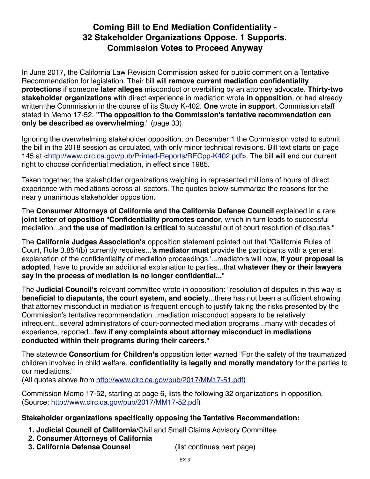# **Coming Bill to End Mediation Confidentiality - 32 Stakeholder Organizations Oppose. 1 Supports. Commission Votes to Proceed Anyway**

In June 2017, the California Law Revision Commission asked for public comment on a Tentative Recommendation for legislation. Their bill will **remove current mediation confidentiality protections** if someone **later alleges** misconduct or overbilling by an attorney advocate. **Thirty-two stakeholder organizations** with direct experience in mediation wrote **in opposition**, or had already written the Commission in the course of its Study K-402. **One** wrote **in support**. Commission staff stated in Memo 17-52, **"The opposition to the Commission's tentative recommendation can only be described as overwhelming**." (page 33)

Ignoring the overwhelming stakeholder opposition, on December 1 the Commission voted to submit the bill in the 2018 session as circulated, with only minor technical revisions. Bill text starts on page 145 at <[http://www.clrc.ca.gov/pub/Printed-Reports/RECpp-K402.pdf>](http://www.clrc.ca.gov/pub/Printed-Reports/RECpp-K402.pdf). The bill will end our current right to choose confidential mediation, in effect since 1985.

Taken together, the stakeholder organizations weighing in represented millions of hours of direct experience with mediations across all sectors. The quotes below summarize the reasons for the nearly unanimous stakeholder opposition.

The **Consumer Attorneys of California and the California Defense Council** explained in a rare **joint letter of opposition** "**Confidentiality promotes candor**, which in turn leads to successful mediation...and **the use of mediation is critical** to successful out of court resolution of disputes."

The **California Judges Association's** opposition statement pointed out that "California Rules of Court, Rule 3.854(b) currently requires...'**a mediator must** provide the participants with a general explanation of the confidentiality of mediation proceedings.'...mediators will now, **if your proposal is adopted**, have to provide an additional explanation to parties...that **whatever they or their lawyers say in the process of mediation is no longer confidential...**"

The **Judicial Council's** relevant committee wrote in opposition: "resolution of disputes in this way is **beneficial to disputants, the court system, and society**...there has not been a sufficient showing that attorney misconduct in mediation is frequent enough to justify taking the risks presented by the Commission's tentative recommendation...mediation misconduct appears to be relatively infrequent...several administrators of court-connected mediation programs...many with decades of experience, reported...**few if any complaints about attorney misconduct in mediations conducted within their programs during their careers.**"

The statewide **Consortium for Children's** opposition letter warned "For the safety of the traumatized children involved in child welfare, **confidentiality is legally and morally mandatory** for the parties to our mediations."

(All quotes above from [http://www.clrc.ca.gov/pub/2017/MM17-51.pdf\)](http://www.clrc.ca.gov/pub/2017/MM17-51.pdf)

Commission Memo 17-52, starting at page 6, lists the following 32 organizations in opposition. (Source: <http://www.clrc.ca.gov/pub/2017/MM17-52.pdf>)

## **Stakeholder organizations specifically opposing the Tentative Recommendation:**

- **1. Judicial Council of California**/Civil and Small Claims Advisory Committee
- **2. Consumer Attorneys of California**
- **3. California Defense Counsel** (list continues next page)